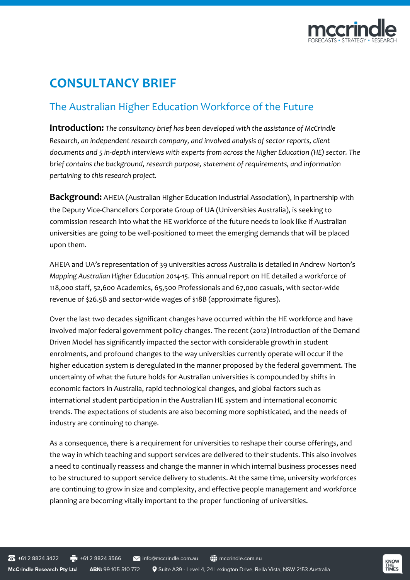

# **CONSULTANCY BRIEF**

## The Australian Higher Education Workforce of the Future

**Introduction:** *The consultancy brief has been developed with the assistance of McCrindle Research, an independent research company, and involved analysis of sector reports, client documents and 5 in-depth interviews with experts from across the Higher Education (HE) sector. The brief contains the background, research purpose, statement of requirements, and information pertaining to this research project.*

**Background:** AHEIA (Australian Higher Education Industrial Association), in partnership with the Deputy Vice-Chancellors Corporate Group of UA (Universities Australia), is seeking to commission research into what the HE workforce of the future needs to look like if Australian universities are going to be well-positioned to meet the emerging demands that will be placed upon them.

AHEIA and UA's representation of 39 universities across Australia is detailed in Andrew Norton's *Mapping Australian Higher Education 2014-15*. This annual report on HE detailed a workforce of 118,000 staff, 52,600 Academics, 65,500 Professionals and 67,000 casuals, with sector-wide revenue of \$26.5B and sector-wide wages of \$18B (approximate figures).

Over the last two decades significant changes have occurred within the HE workforce and have involved major federal government policy changes. The recent (2012) introduction of the Demand Driven Model has significantly impacted the sector with considerable growth in student enrolments, and profound changes to the way universities currently operate will occur if the higher education system is deregulated in the manner proposed by the federal government. The uncertainty of what the future holds for Australian universities is compounded by shifts in economic factors in Australia, rapid technological changes, and global factors such as international student participation in the Australian HE system and international economic trends. The expectations of students are also becoming more sophisticated, and the needs of industry are continuing to change.

As a consequence, there is a requirement for universities to reshape their course offerings, and the way in which teaching and support services are delivered to their students. This also involves a need to continually reassess and change the manner in which internal business processes need to be structured to support service delivery to students. At the same time, university workforces are continuing to grow in size and complexity, and effective people management and workforce planning are becoming vitally important to the proper functioning of universities.

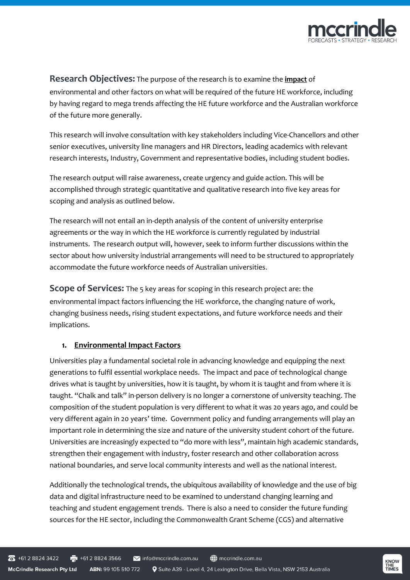

### **Research Objectives:** The purpose of the research is to examine the **impact** of

environmental and other factors on what will be required of the future HE workforce, including by having regard to mega trends affecting the HE future workforce and the Australian workforce of the future more generally.

This research will involve consultation with key stakeholders including Vice-Chancellors and other senior executives, university line managers and HR Directors, leading academics with relevant research interests, Industry, Government and representative bodies, including student bodies.

The research output will raise awareness, create urgency and guide action. This will be accomplished through strategic quantitative and qualitative research into five key areas for scoping and analysis as outlined below.

The research will not entail an in-depth analysis of the content of university enterprise agreements or the way in which the HE workforce is currently regulated by industrial instruments. The research output will, however, seek to inform further discussions within the sector about how university industrial arrangements will need to be structured to appropriately accommodate the future workforce needs of Australian universities.

**Scope of Services:** The 5 key areas for scoping in this research project are: the environmental impact factors influencing the HE workforce, the changing nature of work, changing business needs, rising student expectations, and future workforce needs and their implications.

#### **1. Environmental Impact Factors**

Universities play a fundamental societal role in advancing knowledge and equipping the next generations to fulfil essential workplace needs. The impact and pace of technological change drives what is taught by universities, how it is taught, by whom it is taught and from where it is taught. "Chalk and talk" in-person delivery is no longer a cornerstone of university teaching. The composition of the student population is very different to what it was 20 years ago, and could be very different again in 20 years' time. Government policy and funding arrangements will play an important role in determining the size and nature of the university student cohort of the future. Universities are increasingly expected to "do more with less", maintain high academic standards, strengthen their engagement with industry, foster research and other collaboration across national boundaries, and serve local community interests and well as the national interest.

Additionally the technological trends, the ubiquitous availability of knowledge and the use of big data and digital infrastructure need to be examined to understand changing learning and teaching and student engagement trends. There is also a need to consider the future funding sources for the HE sector, including the Commonwealth Grant Scheme (CGS) and alternative

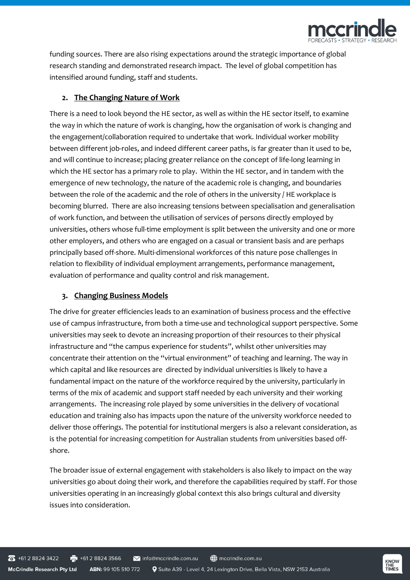

funding sources. There are also rising expectations around the strategic importance of global research standing and demonstrated research impact. The level of global competition has intensified around funding, staff and students.

#### **2. The Changing Nature of Work**

There is a need to look beyond the HE sector, as well as within the HE sector itself, to examine the way in which the nature of work is changing, how the organisation of work is changing and the engagement/collaboration required to undertake that work. Individual worker mobility between different job-roles, and indeed different career paths, is far greater than it used to be, and will continue to increase; placing greater reliance on the concept of life-long learning in which the HE sector has a primary role to play. Within the HE sector, and in tandem with the emergence of new technology, the nature of the academic role is changing, and boundaries between the role of the academic and the role of others in the university / HE workplace is becoming blurred. There are also increasing tensions between specialisation and generalisation of work function, and between the utilisation of services of persons directly employed by universities, others whose full-time employment is split between the university and one or more other employers, and others who are engaged on a casual or transient basis and are perhaps principally based off-shore. Multi-dimensional workforces of this nature pose challenges in relation to flexibility of individual employment arrangements, performance management, evaluation of performance and quality control and risk management.

#### **3. Changing Business Models**

The drive for greater efficiencies leads to an examination of business process and the effective use of campus infrastructure, from both a time-use and technological support perspective. Some universities may seek to devote an increasing proportion of their resources to their physical infrastructure and "the campus experience for students", whilst other universities may concentrate their attention on the "virtual environment" of teaching and learning. The way in which capital and like resources are directed by individual universities is likely to have a fundamental impact on the nature of the workforce required by the university, particularly in terms of the mix of academic and support staff needed by each university and their working arrangements. The increasing role played by some universities in the delivery of vocational education and training also has impacts upon the nature of the university workforce needed to deliver those offerings. The potential for institutional mergers is also a relevant consideration, as is the potential for increasing competition for Australian students from universities based offshore.

The broader issue of external engagement with stakeholders is also likely to impact on the way universities go about doing their work, and therefore the capabilities required by staff. For those universities operating in an increasingly global context this also brings cultural and diversity issues into consideration.

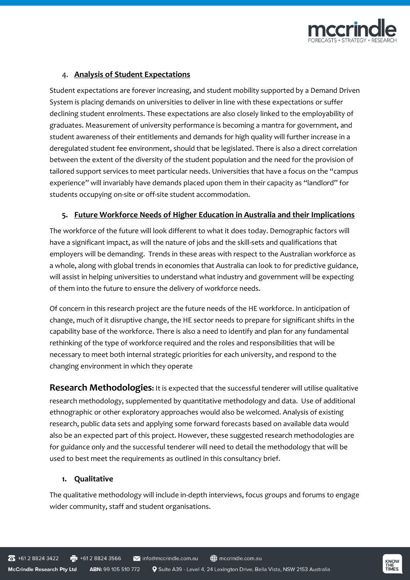

#### 4. **Analysis of Student Expectations**

Student expectations are forever increasing, and student mobility supported by a Demand Driven System is placing demands on universities to deliver in line with these expectations or suffer declining student enrolments. These expectations are also closely linked to the employability of graduates. Measurement of university performance is becoming a mantra for government, and student awareness of their entitlements and demands for high quality will further increase in a deregulated student fee environment, should that be legislated. There is also a direct correlation between the extent of the diversity of the student population and the need for the provision of tailored support services to meet particular needs. Universities that have a focus on the "campus experience" will invariably have demands placed upon them in their capacity as "landlord" for students occupying on-site or off-site student accommodation.

#### **5. Future Workforce Needs of Higher Education in Australia and their Implications**

The workforce of the future will look different to what it does today. Demographic factors will have a significant impact, as will the nature of jobs and the skill-sets and qualifications that employers will be demanding. Trends in these areas with respect to the Australian workforce as a whole, along with global trends in economies that Australia can look to for predictive guidance, will assist in helping universities to understand what industry and government will be expecting of them into the future to ensure the delivery of workforce needs.

Of concern in this research project are the future needs of the HE workforce. In anticipation of change, much of it disruptive change, the HE sector needs to prepare for significant shifts in the capability base of the workforce. There is also a need to identify and plan for any fundamental rethinking of the type of workforce required and the roles and responsibilities that will be necessary to meet both internal strategic priorities for each university, and respond to the changing environment in which they operate

**Research Methodologies:** It is expected that the successful tenderer will utilise qualitative research methodology, supplemented by quantitative methodology and data. Use of additional ethnographic or other exploratory approaches would also be welcomed. Analysis of existing research, public data sets and applying some forward forecasts based on available data would also be an expected part of this project. However, these suggested research methodologies are for guidance only and the successful tenderer will need to detail the methodology that will be used to best meet the requirements as outlined in this consultancy brief.

#### **1. Qualitative**

The qualitative methodology will include in-depth interviews, focus groups and forums to engage wider community, staff and student organisations.

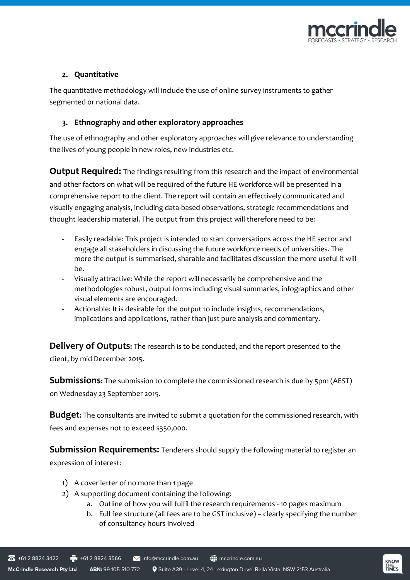

#### **2. Quantitative**

The quantitative methodology will include the use of online survey instruments to gather segmented or national data.

#### **3. Ethnography and other exploratory approaches**

The use of ethnography and other exploratory approaches will give relevance to understanding the lives of young people in new roles, new industries etc.

**Output Required:** The findings resulting from this research and the impact of environmental and other factors on what will be required of the future HE workforce will be presented in a comprehensive report to the client. The report will contain an effectively communicated and visually engaging analysis, including data-based observations, strategic recommendations and thought leadership material. The output from this project will therefore need to be:

- Easily readable: This project is intended to start conversations across the HE sector and engage all stakeholders in discussing the future workforce needs of universities. The more the output is summarised, sharable and facilitates discussion the more useful it will be.
- Visually attractive: While the report will necessarily be comprehensive and the methodologies robust, output forms including visual summaries, infographics and other visual elements are encouraged.
- Actionable: It is desirable for the output to include insights, recommendations, implications and applications, rather than just pure analysis and commentary.

**Delivery of Outputs:** The research is to be conducted, and the report presented to the client, by mid December 2015.

**Submissions:** The submission to complete the commissioned research is due by 5pm (AEST) on Wednesday 23 September 2015.

**Budget:** The consultants are invited to submit a quotation for the commissioned research, with fees and expenses not to exceed \$350,000.

**Submission Requirements:** Tenderers should supply the following material to register an expression of interest:

- 1) A cover letter of no more than 1 page
- 2) A supporting document containing the following:
	- a. Outline of how you will fulfil the research requirements 10 pages maximum
	- b. Full fee structure (all fees are to be GST inclusive) clearly specifying the number of consultancy hours involved